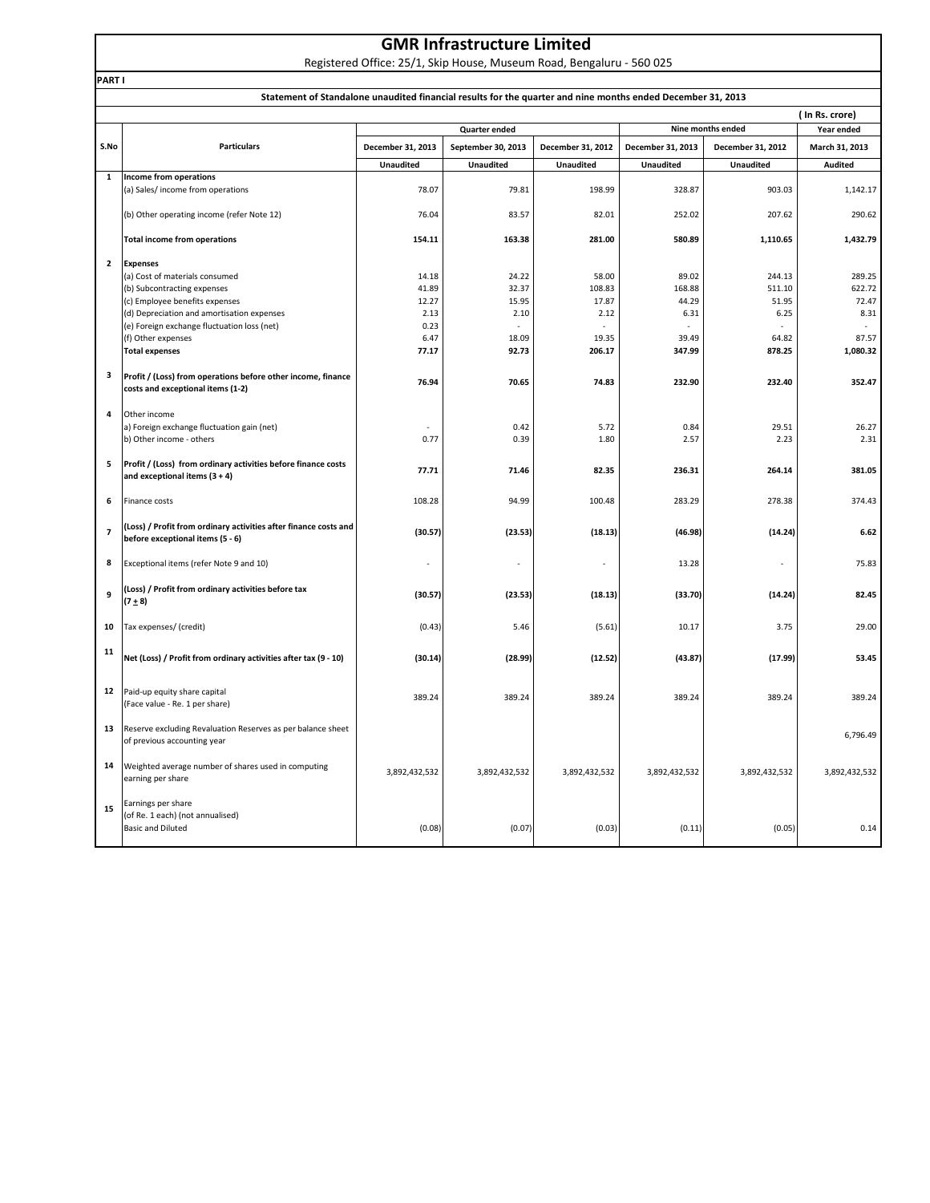|  | <b>GMR Infrastructure Limited</b> |  |
|--|-----------------------------------|--|
|--|-----------------------------------|--|

Registered Office: 25/1, Skip House, Museum Road, Bengaluru ‐ 560 025

|                          | Statement of Standalone unaudited financial results for the quarter and nine months ended December 31, 2013 |                   |                    |                   |                   |                   |                |
|--------------------------|-------------------------------------------------------------------------------------------------------------|-------------------|--------------------|-------------------|-------------------|-------------------|----------------|
|                          | (In Rs. crore)                                                                                              |                   |                    |                   |                   |                   |                |
|                          |                                                                                                             |                   | Quarter ended      |                   |                   | Nine months ended | Year ended     |
| S.No                     | <b>Particulars</b>                                                                                          | December 31, 2013 | September 30, 2013 | December 31, 2012 | December 31, 2013 | December 31, 2012 | March 31, 2013 |
|                          |                                                                                                             | <b>Unaudited</b>  | <b>Unaudited</b>   | <b>Unaudited</b>  | <b>Unaudited</b>  | <b>Unaudited</b>  | <b>Audited</b> |
| $\mathbf{1}$             | Income from operations<br>(a) Sales/income from operations                                                  | 78.07             | 79.81              | 198.99            | 328.87            | 903.03            | 1,142.17       |
|                          | (b) Other operating income (refer Note 12)                                                                  | 76.04             | 83.57              | 82.01             | 252.02            | 207.62            | 290.62         |
|                          | <b>Total income from operations</b>                                                                         | 154.11            | 163.38             | 281.00            | 580.89            | 1,110.65          | 1,432.79       |
| $\mathbf{2}$             | <b>Expenses</b>                                                                                             |                   |                    |                   |                   |                   |                |
|                          | (a) Cost of materials consumed                                                                              | 14.18             | 24.22              | 58.00             | 89.02             | 244.13            | 289.25         |
|                          | (b) Subcontracting expenses                                                                                 | 41.89             | 32.37              | 108.83            | 168.88            | 511.10            | 622.72         |
|                          | (c) Employee benefits expenses                                                                              | 12.27             | 15.95              | 17.87             | 44.29             | 51.95             | 72.47          |
|                          | (d) Depreciation and amortisation expenses                                                                  | 2.13              | 2.10               | 2.12              | 6.31              | 6.25              | 8.31           |
|                          | (e) Foreign exchange fluctuation loss (net)                                                                 | 0.23              |                    |                   |                   |                   | $\sim$         |
|                          | (f) Other expenses                                                                                          | 6.47              | 18.09              | 19.35             | 39.49             | 64.82             | 87.57          |
|                          | <b>Total expenses</b>                                                                                       | 77.17             | 92.73              | 206.17            | 347.99            | 878.25            | 1,080.32       |
| 3                        | Profit / (Loss) from operations before other income, finance<br>costs and exceptional items (1-2)           | 76.94             | 70.65              | 74.83             | 232.90            | 232.40            | 352.47         |
| 4                        | Other income                                                                                                |                   |                    |                   |                   |                   |                |
|                          | a) Foreign exchange fluctuation gain (net)                                                                  |                   | 0.42               | 5.72              | 0.84              | 29.51             | 26.27          |
|                          | b) Other income - others                                                                                    | 0.77              | 0.39               | 1.80              | 2.57              | 2.23              | 2.31           |
|                          |                                                                                                             |                   |                    |                   |                   |                   |                |
| 5                        | Profit / (Loss) from ordinary activities before finance costs<br>and exceptional items $(3 + 4)$            | 77.71             | 71.46              | 82.35             | 236.31            | 264.14            | 381.05         |
| 6                        | Finance costs                                                                                               | 108.28            | 94.99              | 100.48            | 283.29            | 278.38            | 374.43         |
| $\overline{\phantom{a}}$ | (Loss) / Profit from ordinary activities after finance costs and<br>before exceptional items (5 - 6)        | (30.57)           | (23.53)            | (18.13)           | (46.98)           | (14.24)           | 6.62           |
| 8                        | Exceptional items (refer Note 9 and 10)                                                                     |                   |                    |                   | 13.28             |                   | 75.83          |
| 9                        | (Loss) / Profit from ordinary activities before tax<br>$(7 + 8)$                                            | (30.57)           | (23.53)            | (18.13)           | (33.70)           | (14.24)           | 82.45          |
| 10                       | Tax expenses/ (credit)                                                                                      | (0.43)            | 5.46               | (5.61)            | 10.17             | 3.75              | 29.00          |
| 11                       | Net (Loss) / Profit from ordinary activities after tax (9 - 10)                                             | (30.14)           | (28.99)            | (12.52)           | (43.87)           | (17.99)           | 53.45          |
| 12                       | Paid-up equity share capital<br>(Face value - Re. 1 per share)                                              | 389.24            | 389.24             | 389.24            | 389.24            | 389.24            | 389.24         |
| 13                       | Reserve excluding Revaluation Reserves as per balance sheet<br>of previous accounting year                  |                   |                    |                   |                   |                   | 6,796.49       |
| 14                       | Weighted average number of shares used in computing<br>earning per share                                    | 3,892,432,532     | 3,892,432,532      | 3,892,432,532     | 3,892,432,532     | 3,892,432,532     | 3,892,432,532  |
| 15                       | Earnings per share<br>(of Re. 1 each) (not annualised)<br><b>Basic and Diluted</b>                          | (0.08)            | (0.07)             | (0.03)            | (0.11)            | (0.05)            | 0.14           |

**PART I**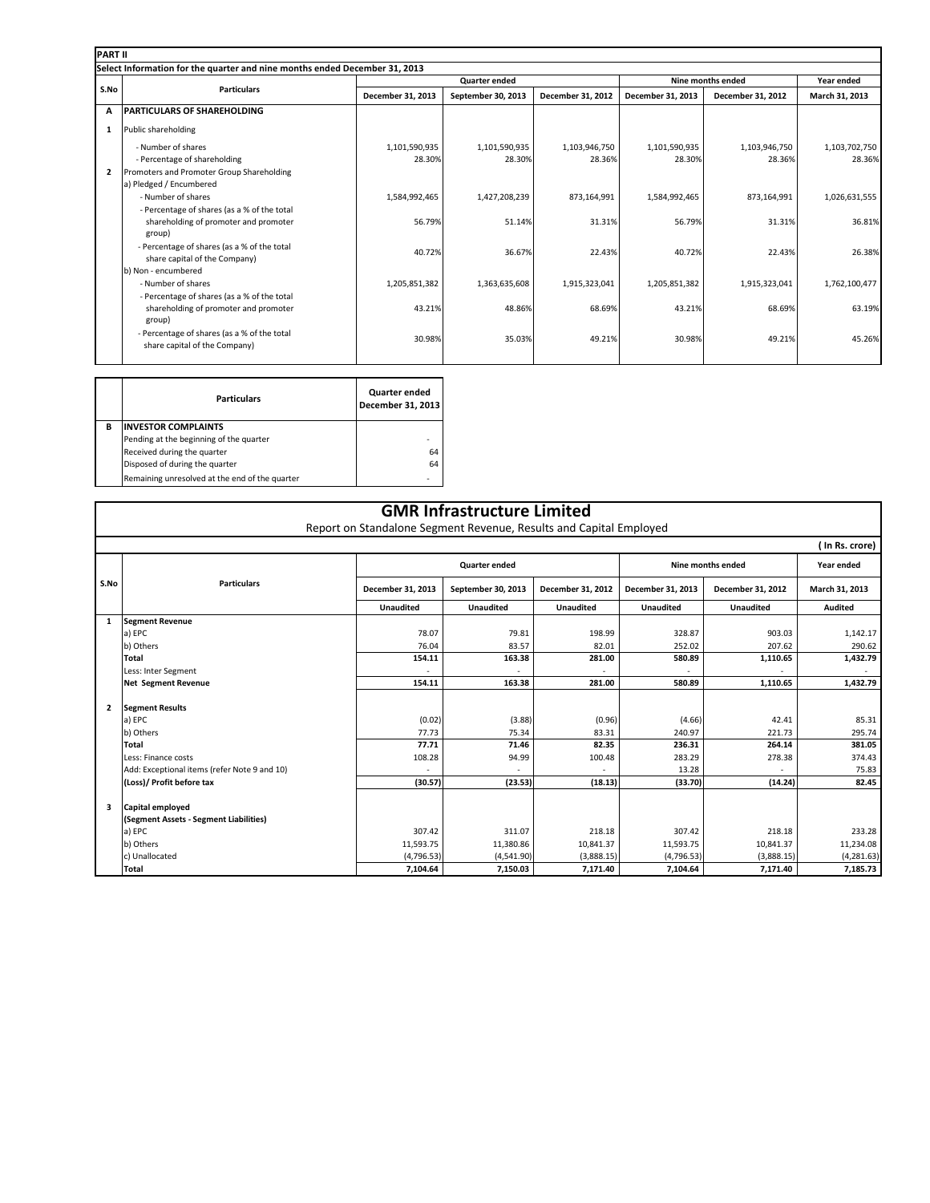| <b>PART II</b> |                                                                            |                   |                      |                          |                   |                   |                |
|----------------|----------------------------------------------------------------------------|-------------------|----------------------|--------------------------|-------------------|-------------------|----------------|
|                | Select Information for the quarter and nine months ended December 31, 2013 |                   |                      |                          |                   |                   |                |
|                |                                                                            |                   | <b>Quarter ended</b> |                          |                   | Nine months ended |                |
| S.No           | <b>Particulars</b>                                                         | December 31, 2013 | September 30, 2013   | <b>December 31, 2012</b> | December 31, 2013 | December 31, 2012 | March 31, 2013 |
| A              | <b>PARTICULARS OF SHAREHOLDING</b>                                         |                   |                      |                          |                   |                   |                |
| 1              | Public shareholding                                                        |                   |                      |                          |                   |                   |                |
|                | - Number of shares                                                         | 1,101,590,935     | 1,101,590,935        | 1,103,946,750            | 1,101,590,935     | 1,103,946,750     | 1,103,702,750  |
|                | - Percentage of shareholding                                               | 28.30%            | 28.30%               | 28.36%                   | 28.30%            | 28.36%            | 28.36%         |
| $\overline{2}$ | Promoters and Promoter Group Shareholding                                  |                   |                      |                          |                   |                   |                |
|                | a) Pledged / Encumbered                                                    |                   |                      |                          |                   |                   |                |
|                | - Number of shares                                                         | 1,584,992,465     | 1,427,208,239        | 873,164,991              | 1,584,992,465     | 873,164,991       | 1,026,631,555  |
|                | - Percentage of shares (as a % of the total                                |                   |                      |                          |                   |                   |                |
|                | shareholding of promoter and promoter                                      | 56.79%            | 51.14%               | 31.31%                   | 56.79%            | 31.31%            | 36.81%         |
|                | group)                                                                     |                   |                      |                          |                   |                   |                |
|                | - Percentage of shares (as a % of the total                                | 40.72%            | 36.67%               | 22.43%                   | 40.72%            | 22.43%            | 26.38%         |
|                | share capital of the Company)                                              |                   |                      |                          |                   |                   |                |
|                | b) Non - encumbered                                                        |                   |                      |                          |                   |                   |                |
|                | - Number of shares                                                         | 1,205,851,382     | 1,363,635,608        | 1,915,323,041            | 1,205,851,382     | 1,915,323,041     | 1,762,100,477  |
|                | - Percentage of shares (as a % of the total                                |                   |                      |                          |                   |                   |                |
|                | shareholding of promoter and promoter                                      | 43.21%            | 48.86%               | 68.69%                   | 43.21%            | 68.69%            | 63.19%         |
|                | group)                                                                     |                   |                      |                          |                   |                   |                |
|                | - Percentage of shares (as a % of the total                                | 30.98%            | 35.03%               | 49.21%                   | 30.98%            | 49.21%            | 45.26%         |
|                | share capital of the Company)                                              |                   |                      |                          |                   |                   |                |
|                |                                                                            |                   |                      |                          |                   |                   |                |

|   | <b>Particulars</b>                             | Quarter ended<br>December 31, 2013 |
|---|------------------------------------------------|------------------------------------|
| в | <b>INVESTOR COMPLAINTS</b>                     |                                    |
|   | Pending at the beginning of the quarter        |                                    |
|   | Received during the quarter                    | 64                                 |
|   | Disposed of during the quarter                 | 64                                 |
|   | Remaining unresolved at the end of the quarter |                                    |

### **GMR Infrastructure Limited**

Report on Standalone Segment Revenue, Results and Capital Employed

|                | (In Rs. crore)                               |                      |                    |                   |                   |                   |                |
|----------------|----------------------------------------------|----------------------|--------------------|-------------------|-------------------|-------------------|----------------|
|                |                                              | <b>Quarter ended</b> |                    |                   | Nine months ended |                   | Year ended     |
| S.No           | <b>Particulars</b>                           | December 31, 2013    | September 30, 2013 | December 31, 2012 | December 31, 2013 | December 31, 2012 | March 31, 2013 |
|                |                                              | <b>Unaudited</b>     | <b>Unaudited</b>   | <b>Unaudited</b>  | <b>Unaudited</b>  | <b>Unaudited</b>  | <b>Audited</b> |
| 1              | <b>Segment Revenue</b>                       |                      |                    |                   |                   |                   |                |
|                | a) EPC                                       | 78.07                | 79.81              | 198.99            | 328.87            | 903.03            | 1,142.17       |
|                | b) Others                                    | 76.04                | 83.57              | 82.01             | 252.02            | 207.62            | 290.62         |
|                | <b>Total</b>                                 | 154.11               | 163.38             | 281.00            | 580.89            | 1,110.65          | 1,432.79       |
|                | Less: Inter Segment                          |                      |                    |                   |                   |                   |                |
|                | <b>Net Segment Revenue</b>                   | 154.11               | 163.38             | 281.00            | 580.89            | 1.110.65          | 1,432.79       |
|                |                                              |                      |                    |                   |                   |                   |                |
| $\overline{2}$ | <b>Segment Results</b>                       |                      |                    |                   |                   |                   |                |
|                | a) EPC                                       | (0.02)               | (3.88)             | (0.96)            | (4.66)            | 42.41             | 85.31          |
|                | b) Others                                    | 77.73                | 75.34              | 83.31             | 240.97            | 221.73            | 295.74         |
|                | <b>Total</b>                                 | 77.71                | 71.46              | 82.35             | 236.31            | 264.14            | 381.05         |
|                | Less: Finance costs                          | 108.28               | 94.99              | 100.48            | 283.29            | 278.38            | 374.43         |
|                | Add: Exceptional items (refer Note 9 and 10) |                      |                    |                   | 13.28             |                   | 75.83          |
|                | (Loss)/ Profit before tax                    | (30.57)              | (23.53)            | (18.13)           | (33.70)           | (14.24)           | 82.45          |
|                |                                              |                      |                    |                   |                   |                   |                |
| 3              | Capital employed                             |                      |                    |                   |                   |                   |                |
|                | (Segment Assets - Segment Liabilities)       |                      |                    |                   |                   |                   |                |
|                | a) EPC                                       | 307.42               | 311.07             | 218.18            | 307.42            | 218.18            | 233.28         |
|                | b) Others                                    | 11,593.75            | 11,380.86          | 10,841.37         | 11,593.75         | 10,841.37         | 11,234.08      |
|                | c) Unallocated                               | (4,796.53)           | (4,541.90)         | (3,888.15)        | (4,796.53)        | (3,888.15)        | (4, 281.63)    |
|                | Total                                        | 7,104.64             | 7,150.03           | 7,171.40          | 7,104.64          | 7,171.40          | 7,185.73       |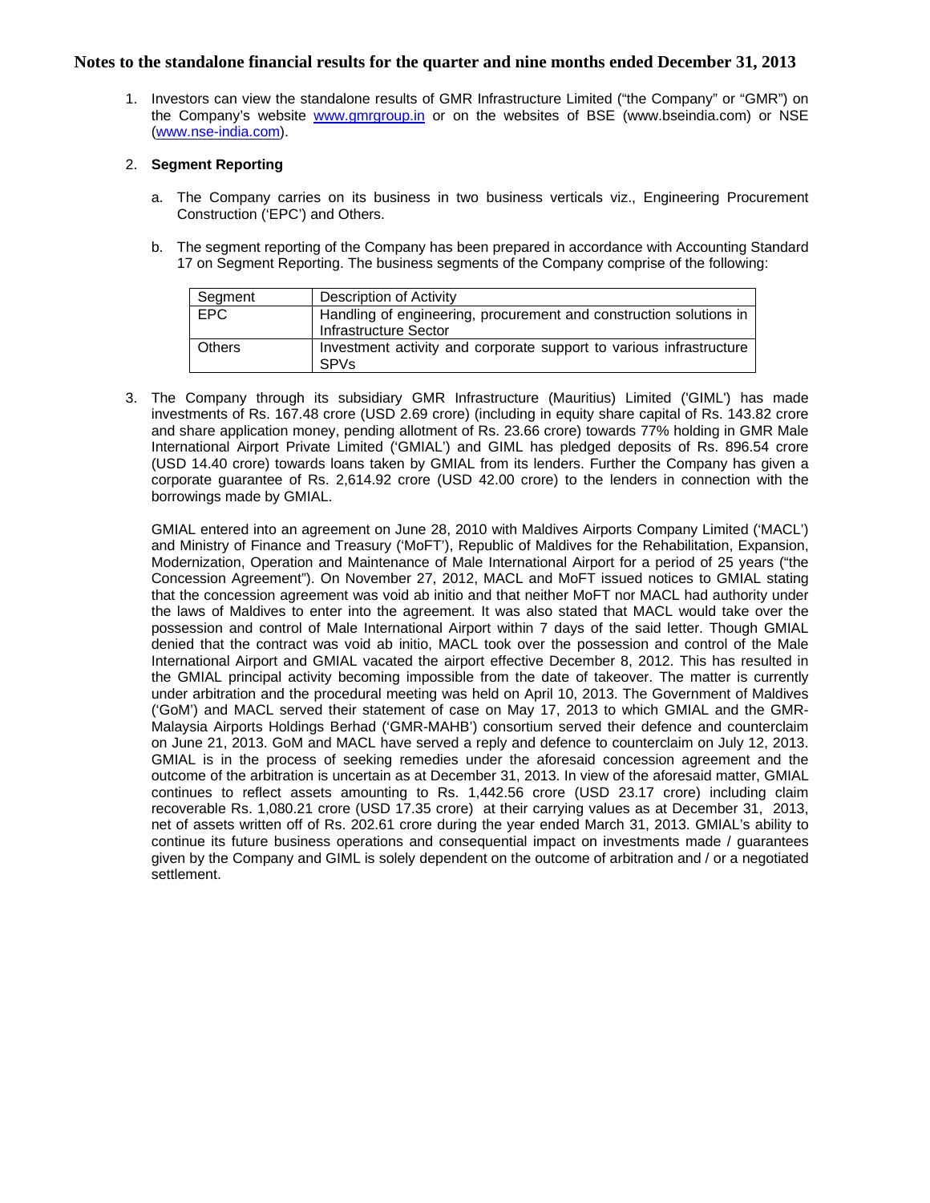1. Investors can view the standalone results of GMR Infrastructure Limited ("the Company" or "GMR") on the Company's website www.gmrgroup.in or on the websites of BSE (www.bseindia.com) or NSE (www.nse-india.com).

#### 2. **Segment Reporting**

- a. The Company carries on its business in two business verticals viz., Engineering Procurement Construction ('EPC') and Others.
- b. The segment reporting of the Company has been prepared in accordance with Accounting Standard 17 on Segment Reporting. The business segments of the Company comprise of the following:

| Segment    | Description of Activity                                                                     |
|------------|---------------------------------------------------------------------------------------------|
| <b>EPC</b> | Handling of engineering, procurement and construction solutions in<br>Infrastructure Sector |
| l Others   | Investment activity and corporate support to various infrastructure<br>SP <sub>Vs</sub>     |

3. The Company through its subsidiary GMR Infrastructure (Mauritius) Limited ('GIML') has made investments of Rs. 167.48 crore (USD 2.69 crore) (including in equity share capital of Rs. 143.82 crore and share application money, pending allotment of Rs. 23.66 crore) towards 77% holding in GMR Male International Airport Private Limited ('GMIAL') and GIML has pledged deposits of Rs. 896.54 crore (USD 14.40 crore) towards loans taken by GMIAL from its lenders. Further the Company has given a corporate guarantee of Rs. 2,614.92 crore (USD 42.00 crore) to the lenders in connection with the borrowings made by GMIAL.

GMIAL entered into an agreement on June 28, 2010 with Maldives Airports Company Limited ('MACL') and Ministry of Finance and Treasury ('MoFT'), Republic of Maldives for the Rehabilitation, Expansion, Modernization, Operation and Maintenance of Male International Airport for a period of 25 years ("the Concession Agreement"). On November 27, 2012, MACL and MoFT issued notices to GMIAL stating that the concession agreement was void ab initio and that neither MoFT nor MACL had authority under the laws of Maldives to enter into the agreement. It was also stated that MACL would take over the possession and control of Male International Airport within 7 days of the said letter. Though GMIAL denied that the contract was void ab initio, MACL took over the possession and control of the Male International Airport and GMIAL vacated the airport effective December 8, 2012. This has resulted in the GMIAL principal activity becoming impossible from the date of takeover. The matter is currently under arbitration and the procedural meeting was held on April 10, 2013. The Government of Maldives ('GoM') and MACL served their statement of case on May 17, 2013 to which GMIAL and the GMR-Malaysia Airports Holdings Berhad ('GMR-MAHB') consortium served their defence and counterclaim on June 21, 2013. GoM and MACL have served a reply and defence to counterclaim on July 12, 2013. GMIAL is in the process of seeking remedies under the aforesaid concession agreement and the outcome of the arbitration is uncertain as at December 31, 2013. In view of the aforesaid matter, GMIAL continues to reflect assets amounting to Rs. 1,442.56 crore (USD 23.17 crore) including claim recoverable Rs. 1,080.21 crore (USD 17.35 crore) at their carrying values as at December 31, 2013, net of assets written off of Rs. 202.61 crore during the year ended March 31, 2013. GMIAL's ability to continue its future business operations and consequential impact on investments made / guarantees given by the Company and GIML is solely dependent on the outcome of arbitration and / or a negotiated settlement.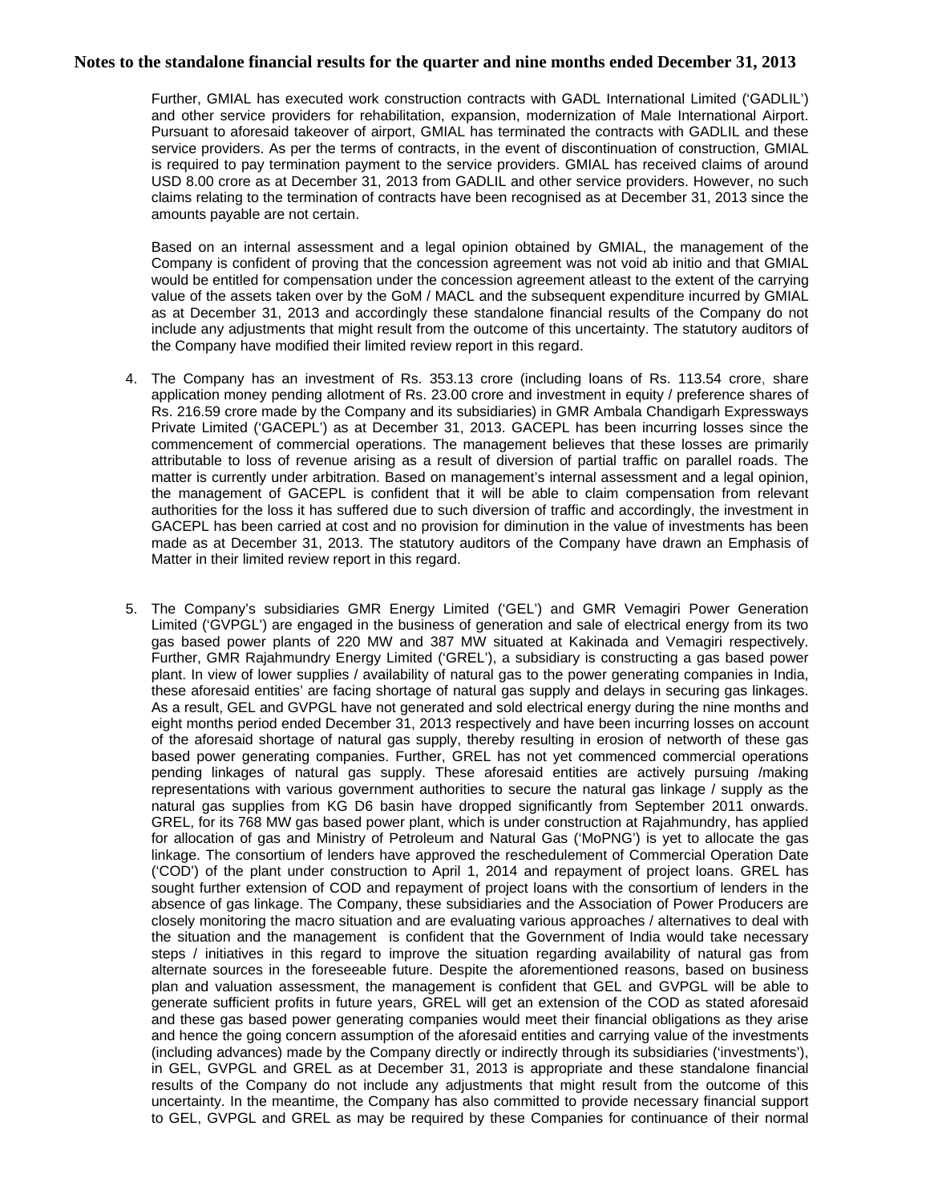Further, GMIAL has executed work construction contracts with GADL International Limited ('GADLIL') and other service providers for rehabilitation, expansion, modernization of Male International Airport. Pursuant to aforesaid takeover of airport, GMIAL has terminated the contracts with GADLIL and these service providers. As per the terms of contracts, in the event of discontinuation of construction, GMIAL is required to pay termination payment to the service providers. GMIAL has received claims of around USD 8.00 crore as at December 31, 2013 from GADLIL and other service providers. However, no such claims relating to the termination of contracts have been recognised as at December 31, 2013 since the amounts payable are not certain.

Based on an internal assessment and a legal opinion obtained by GMIAL, the management of the Company is confident of proving that the concession agreement was not void ab initio and that GMIAL would be entitled for compensation under the concession agreement atleast to the extent of the carrying value of the assets taken over by the GoM / MACL and the subsequent expenditure incurred by GMIAL as at December 31, 2013 and accordingly these standalone financial results of the Company do not include any adjustments that might result from the outcome of this uncertainty. The statutory auditors of the Company have modified their limited review report in this regard.

- 4. The Company has an investment of Rs. 353.13 crore (including loans of Rs. 113.54 crore, share application money pending allotment of Rs. 23.00 crore and investment in equity / preference shares of Rs. 216.59 crore made by the Company and its subsidiaries) in GMR Ambala Chandigarh Expressways Private Limited ('GACEPL') as at December 31, 2013. GACEPL has been incurring losses since the commencement of commercial operations. The management believes that these losses are primarily attributable to loss of revenue arising as a result of diversion of partial traffic on parallel roads. The matter is currently under arbitration. Based on management's internal assessment and a legal opinion, the management of GACEPL is confident that it will be able to claim compensation from relevant authorities for the loss it has suffered due to such diversion of traffic and accordingly, the investment in GACEPL has been carried at cost and no provision for diminution in the value of investments has been made as at December 31, 2013. The statutory auditors of the Company have drawn an Emphasis of Matter in their limited review report in this regard.
- 5. The Company's subsidiaries GMR Energy Limited ('GEL') and GMR Vemagiri Power Generation Limited ('GVPGL') are engaged in the business of generation and sale of electrical energy from its two gas based power plants of 220 MW and 387 MW situated at Kakinada and Vemagiri respectively. Further, GMR Rajahmundry Energy Limited ('GREL'), a subsidiary is constructing a gas based power plant. In view of lower supplies / availability of natural gas to the power generating companies in India, these aforesaid entities' are facing shortage of natural gas supply and delays in securing gas linkages. As a result, GEL and GVPGL have not generated and sold electrical energy during the nine months and eight months period ended December 31, 2013 respectively and have been incurring losses on account of the aforesaid shortage of natural gas supply, thereby resulting in erosion of networth of these gas based power generating companies. Further, GREL has not yet commenced commercial operations pending linkages of natural gas supply. These aforesaid entities are actively pursuing /making representations with various government authorities to secure the natural gas linkage / supply as the natural gas supplies from KG D6 basin have dropped significantly from September 2011 onwards. GREL, for its 768 MW gas based power plant, which is under construction at Rajahmundry, has applied for allocation of gas and Ministry of Petroleum and Natural Gas ('MoPNG') is yet to allocate the gas linkage. The consortium of lenders have approved the reschedulement of Commercial Operation Date ('COD') of the plant under construction to April 1, 2014 and repayment of project loans. GREL has sought further extension of COD and repayment of project loans with the consortium of lenders in the absence of gas linkage. The Company, these subsidiaries and the Association of Power Producers are closely monitoring the macro situation and are evaluating various approaches / alternatives to deal with the situation and the management is confident that the Government of India would take necessary steps / initiatives in this regard to improve the situation regarding availability of natural gas from alternate sources in the foreseeable future. Despite the aforementioned reasons, based on business plan and valuation assessment, the management is confident that GEL and GVPGL will be able to generate sufficient profits in future years, GREL will get an extension of the COD as stated aforesaid and these gas based power generating companies would meet their financial obligations as they arise and hence the going concern assumption of the aforesaid entities and carrying value of the investments (including advances) made by the Company directly or indirectly through its subsidiaries ('investments'), in GEL, GVPGL and GREL as at December 31, 2013 is appropriate and these standalone financial results of the Company do not include any adjustments that might result from the outcome of this uncertainty. In the meantime, the Company has also committed to provide necessary financial support to GEL, GVPGL and GREL as may be required by these Companies for continuance of their normal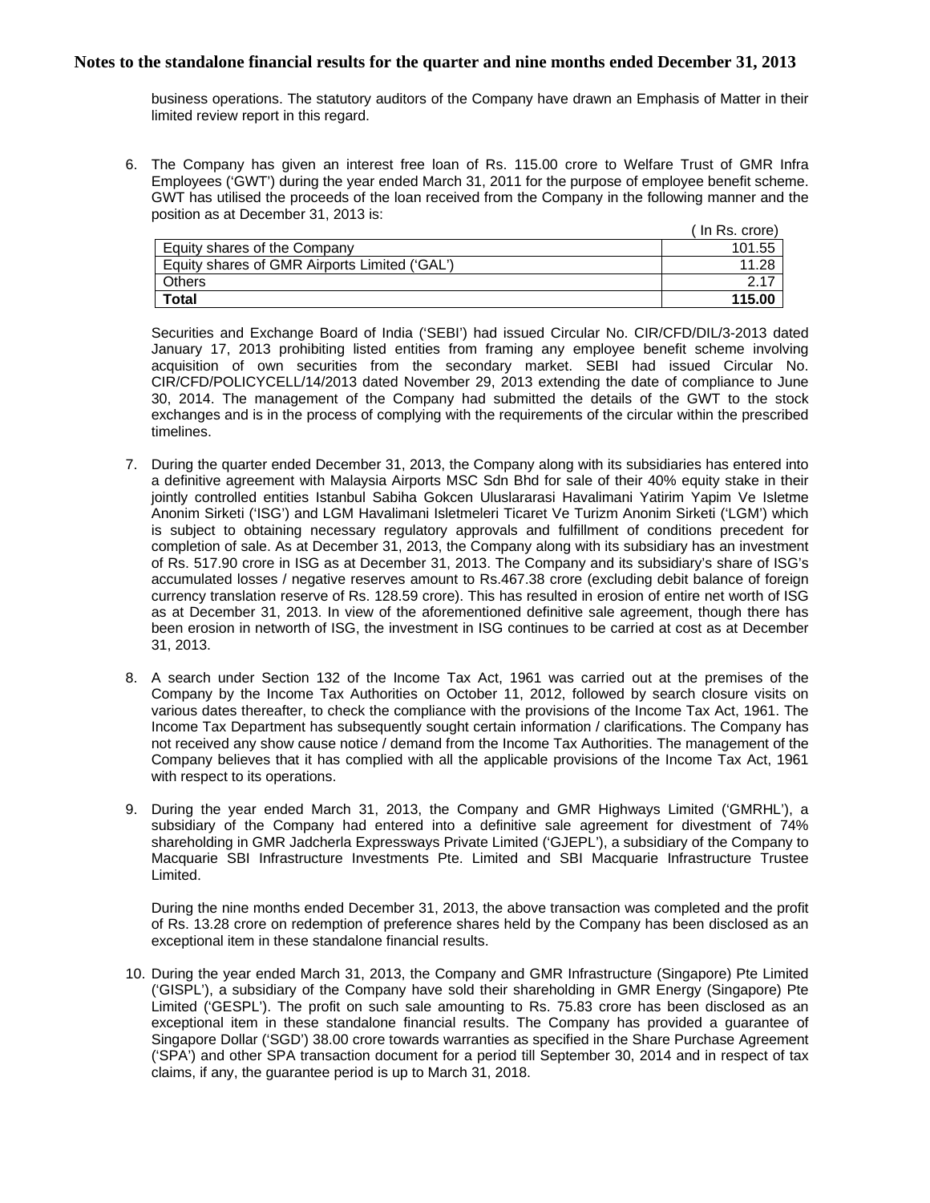business operations. The statutory auditors of the Company have drawn an Emphasis of Matter in their limited review report in this regard.

6. The Company has given an interest free loan of Rs. 115.00 crore to Welfare Trust of GMR Infra Employees ('GWT') during the year ended March 31, 2011 for the purpose of employee benefit scheme. GWT has utilised the proceeds of the loan received from the Company in the following manner and the position as at December 31, 2013 is:

|                                               | $($ In Rs. crore) |
|-----------------------------------------------|-------------------|
| Equity shares of the Company                  | 101.55            |
| Equity shares of GMR Airports Limited ('GAL') | 11.28             |
| Others                                        |                   |
| <b>Total</b>                                  | 115.00            |

Securities and Exchange Board of India ('SEBI') had issued Circular No. CIR/CFD/DIL/3-2013 dated January 17, 2013 prohibiting listed entities from framing any employee benefit scheme involving acquisition of own securities from the secondary market. SEBI had issued Circular No. CIR/CFD/POLICYCELL/14/2013 dated November 29, 2013 extending the date of compliance to June 30, 2014. The management of the Company had submitted the details of the GWT to the stock exchanges and is in the process of complying with the requirements of the circular within the prescribed timelines.

- 7. During the quarter ended December 31, 2013, the Company along with its subsidiaries has entered into a definitive agreement with Malaysia Airports MSC Sdn Bhd for sale of their 40% equity stake in their jointly controlled entities Istanbul Sabiha Gokcen Uluslararasi Havalimani Yatirim Yapim Ve Isletme Anonim Sirketi ('ISG') and LGM Havalimani Isletmeleri Ticaret Ve Turizm Anonim Sirketi ('LGM') which is subject to obtaining necessary regulatory approvals and fulfillment of conditions precedent for completion of sale. As at December 31, 2013, the Company along with its subsidiary has an investment of Rs. 517.90 crore in ISG as at December 31, 2013. The Company and its subsidiary's share of ISG's accumulated losses / negative reserves amount to Rs.467.38 crore (excluding debit balance of foreign currency translation reserve of Rs. 128.59 crore). This has resulted in erosion of entire net worth of ISG as at December 31, 2013. In view of the aforementioned definitive sale agreement, though there has been erosion in networth of ISG, the investment in ISG continues to be carried at cost as at December 31, 2013.
- 8. A search under Section 132 of the Income Tax Act, 1961 was carried out at the premises of the Company by the Income Tax Authorities on October 11, 2012, followed by search closure visits on various dates thereafter, to check the compliance with the provisions of the Income Tax Act, 1961. The Income Tax Department has subsequently sought certain information / clarifications. The Company has not received any show cause notice / demand from the Income Tax Authorities. The management of the Company believes that it has complied with all the applicable provisions of the Income Tax Act, 1961 with respect to its operations.
- 9. During the year ended March 31, 2013, the Company and GMR Highways Limited ('GMRHL'), a subsidiary of the Company had entered into a definitive sale agreement for divestment of 74% shareholding in GMR Jadcherla Expressways Private Limited ('GJEPL'), a subsidiary of the Company to Macquarie SBI Infrastructure Investments Pte. Limited and SBI Macquarie Infrastructure Trustee Limited.

During the nine months ended December 31, 2013, the above transaction was completed and the profit of Rs. 13.28 crore on redemption of preference shares held by the Company has been disclosed as an exceptional item in these standalone financial results.

10. During the year ended March 31, 2013, the Company and GMR Infrastructure (Singapore) Pte Limited ('GISPL'), a subsidiary of the Company have sold their shareholding in GMR Energy (Singapore) Pte Limited ('GESPL'). The profit on such sale amounting to Rs. 75.83 crore has been disclosed as an exceptional item in these standalone financial results. The Company has provided a guarantee of Singapore Dollar ('SGD') 38.00 crore towards warranties as specified in the Share Purchase Agreement ('SPA') and other SPA transaction document for a period till September 30, 2014 and in respect of tax claims, if any, the guarantee period is up to March 31, 2018.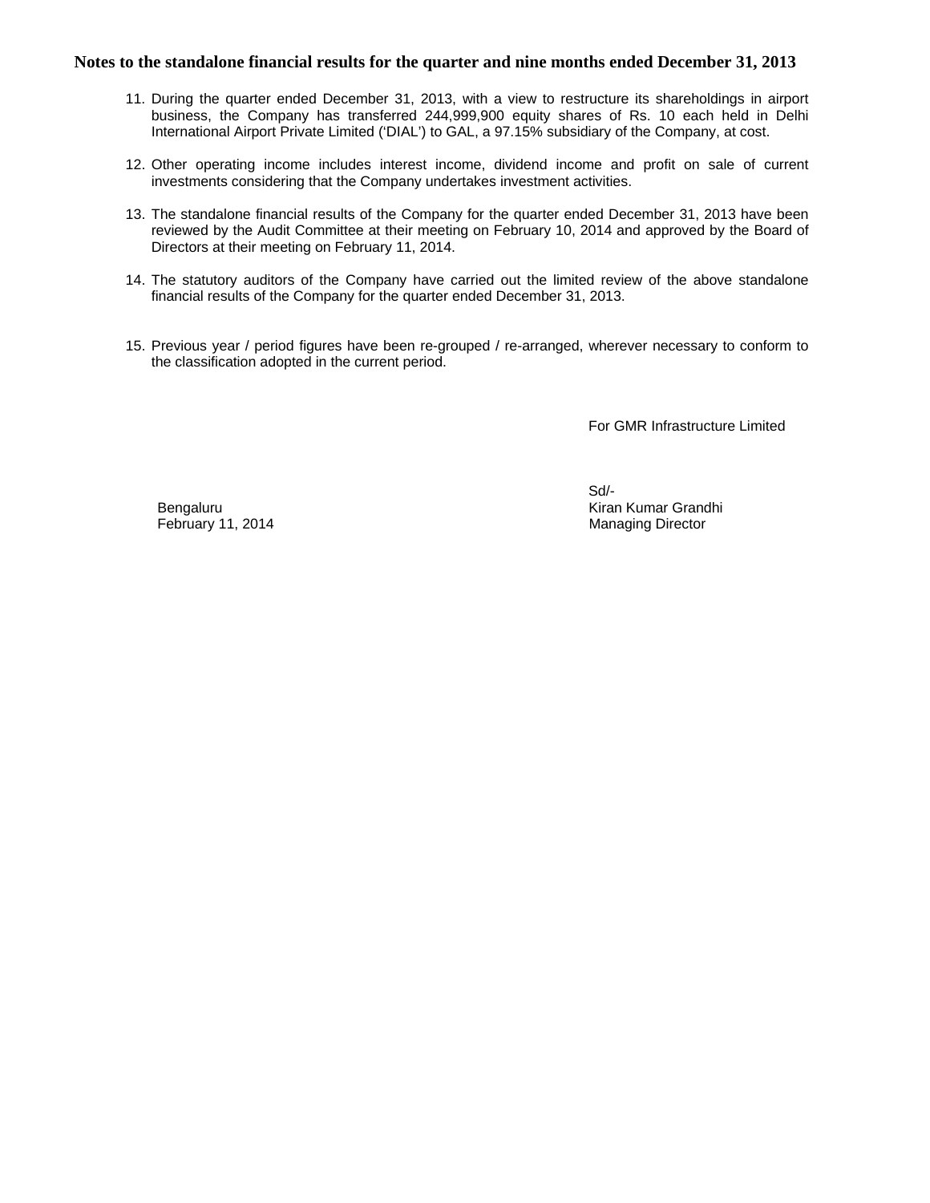- 11. During the quarter ended December 31, 2013, with a view to restructure its shareholdings in airport business, the Company has transferred 244,999,900 equity shares of Rs. 10 each held in Delhi International Airport Private Limited ('DIAL') to GAL, a 97.15% subsidiary of the Company, at cost.
- 12. Other operating income includes interest income, dividend income and profit on sale of current investments considering that the Company undertakes investment activities.
- 13. The standalone financial results of the Company for the quarter ended December 31, 2013 have been reviewed by the Audit Committee at their meeting on February 10, 2014 and approved by the Board of Directors at their meeting on February 11, 2014.
- 14. The statutory auditors of the Company have carried out the limited review of the above standalone financial results of the Company for the quarter ended December 31, 2013.
- 15. Previous year / period figures have been re-grouped / re-arranged, wherever necessary to conform to the classification adopted in the current period.

For GMR Infrastructure Limited

Sd/- Bengaluru Kiran Kumar Grandhi February 11, 2014 **Managing Director Managing Director**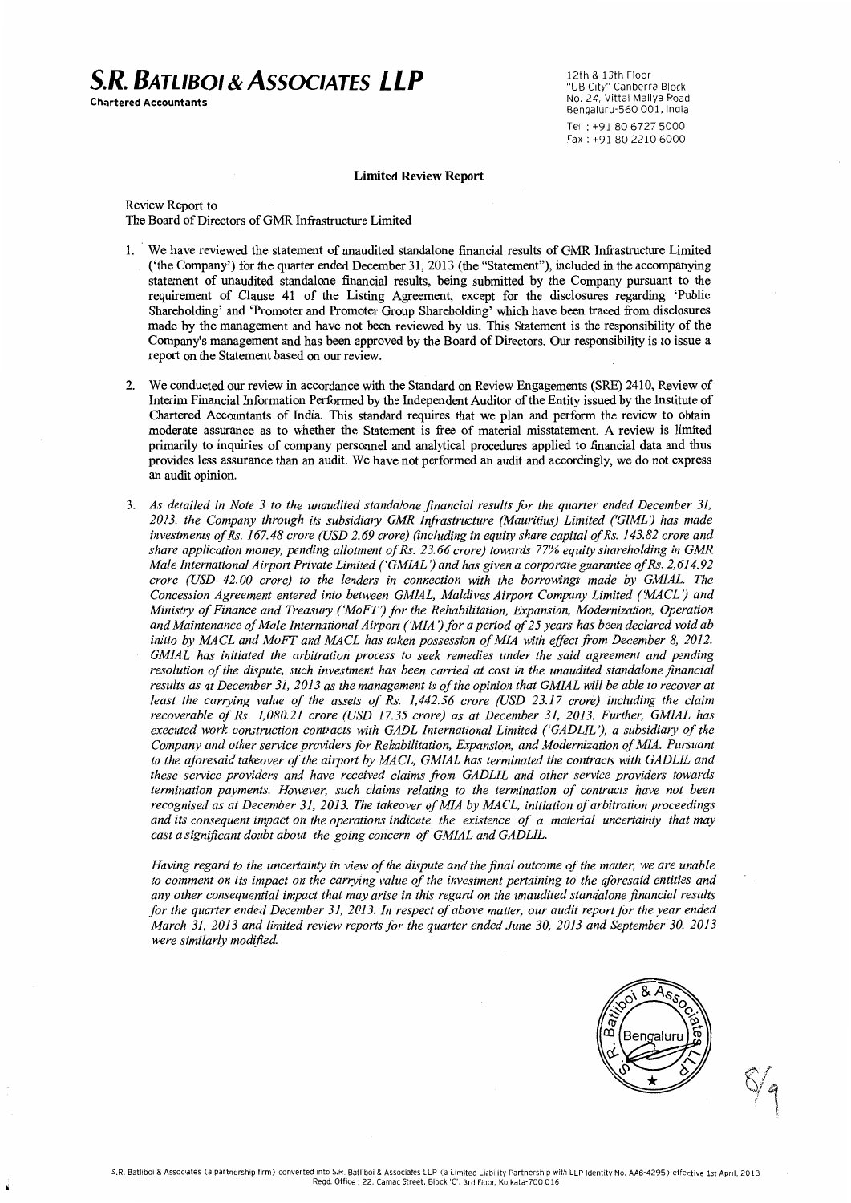## **S.R. BATLIBOL& ASSOCIATES LLP**

Chartered Accountants

12th & 13th Floor ובנור & בסטוררוסטו<br>"UB City" Canberra Block<br>No. 24, Vittal Mallya Road Bengaluru-560 001, India Tel: +91.80.6727.5000 Fax: +91 80 2210 6000

#### **Limited Review Report**

Review Report to The Board of Directors of GMR Infrastructure Limited

- 1. We have reviewed the statement of unaudited standalone financial results of GMR Infrastructure Limited ('the Company') for the quarter ended December 31, 2013 (the "Statement"), included in the accompanying statement of unaudited standalone financial results, being submitted by the Company pursuant to the requirement of Clause 41 of the Listing Agreement, except for the disclosures regarding 'Public Shareholding' and 'Promoter and Promoter Group Shareholding' which have been traced from disclosures made by the management and have not been reviewed by us. This Statement is the responsibility of the Company's management and has been approved by the Board of Directors. Our responsibility is to issue a report on the Statement based on our review.
- We conducted our review in accordance with the Standard on Review Engagements (SRE) 2410, Review of Interim Financial Information Performed by the Independent Auditor of the Entity issued by the Institute of Chartered Accountants of India. This standard requires that we plan and perform the review to obtain moderate assurance as to whether the Statement is free of material misstatement. A review is limited primarily to inquiries of company personnel and analytical procedures applied to financial data and thus provides less assurance than an audit. We have not performed an audit and accordingly, we do not express an audit opinion.
- 3. As detailed in Note 3 to the unaudited standalone financial results for the quarter ended December 31, 2013, the Company through its subsidiary GMR Infrastructure (Mauritius) Limited ('GIML') has made investments of Rs. 167.48 crore (USD 2.69 crore) (including in equity share capital of Rs. 143.82 crore and share application money, pending allotment of Rs. 23.66 crore) towards 77% equity shareholding in GMR Male International Airport Private Limited ('GMIAL') and has given a corporate guarantee of Rs. 2,614.92 crore (USD 42.00 crore) to the lenders in connection with the borrowings made by GMIAL. The Concession Agreement entered into between GMIAL, Maldives Airport Company Limited ('MACL') and Ministry of Finance and Treasury ('MoFT') for the Rehabilitation, Expansion, Modernization, Operation and Maintenance of Male International Airport ('MIA') for a period of 25 years has been declared void ab initio by MACL and MoFT and MACL has taken possession of MIA with effect from December 8, 2012. GMIAL has initiated the arbitration process to seek remedies under the said agreement and pending resolution of the dispute, such investment has been carried at cost in the unaudited standalone financial results as at December 31, 2013 as the management is of the opinion that GMIAL will be able to recover at least the carrying value of the assets of Rs. 1,442.56 crore (USD 23.17 crore) including the claim recoverable of Rs. 1,080.21 crore (USD 17.35 crore) as at December 31, 2013. Further, GMIAL has executed work construction contracts with GADL International Limited ('GADLIL'), a subsidiary of the Company and other service providers for Rehabilitation, Expansion, and Modernization of MIA. Pursuant to the aforesaid takeover of the airport by MACL, GMIAL has terminated the contracts with GADLIL and these service providers and have received claims from GADLIL and other service providers towards termination payments. However, such claims relating to the termination of contracts have not been recognised as at December 31, 2013. The takeover of MIA by MACL, initiation of arbitration proceedings and its consequent impact on the operations indicate the existence of a material uncertainty that may cast a significant doubt about the going concern of GMIAL and GADLIL.

Having regard to the uncertainty in view of the dispute and the final outcome of the matter, we are unable to comment on its impact on the carrying value of the investment pertaining to the aforesaid entities and any other consequential impact that may arise in this regard on the unaudited standalone financial results for the quarter ended December 31, 2013. In respect of above matter, our audit report for the year ended March 31, 2013 and limited review reports for the quarter ended June 30, 2013 and September 30, 2013 were similarly modified.